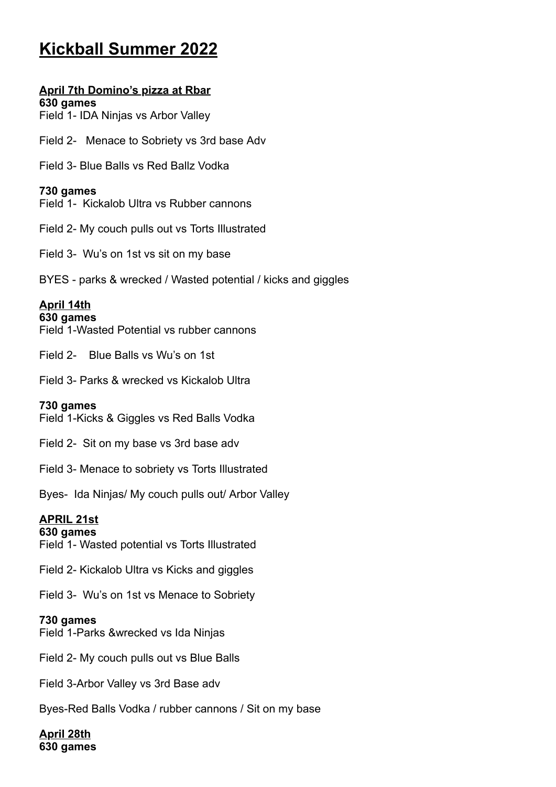# **Kickball Summer 2022**

# **April 7th Domino's pizza at Rbar**

**630 games** Field 1- IDA Ninjas vs Arbor Valley

Field 2- Menace to Sobriety vs 3rd base Adv

Field 3- Blue Balls vs Red Ballz Vodka

### **730 games**

Field 1- Kickalob Ultra vs Rubber cannons

Field 2- My couch pulls out vs Torts Illustrated

Field 3- Wu's on 1st vs sit on my base

BYES - parks & wrecked / Wasted potential / kicks and giggles

### **April 14th**

#### **630 games**

Field 1-Wasted Potential vs rubber cannons

Field 2- Blue Balls vs Wu's on 1st

Field 3- Parks & wrecked vs Kickalob Ultra

#### **730 games**

Field 1-Kicks & Giggles vs Red Balls Vodka

Field 2- Sit on my base vs 3rd base adv

Field 3- Menace to sobriety vs Torts Illustrated

Byes- Ida Ninjas/ My couch pulls out/ Arbor Valley

### **APRIL 21st**

#### **630 games**

Field 1- Wasted potential vs Torts Illustrated

Field 2- Kickalob Ultra vs Kicks and giggles

Field 3- Wu's on 1st vs Menace to Sobriety

#### **730 games**

Field 1-Parks &wrecked vs Ida Ninjas

Field 2- My couch pulls out vs Blue Balls

Field 3-Arbor Valley vs 3rd Base adv

Byes-Red Balls Vodka / rubber cannons / Sit on my base

**April 28th 630 games**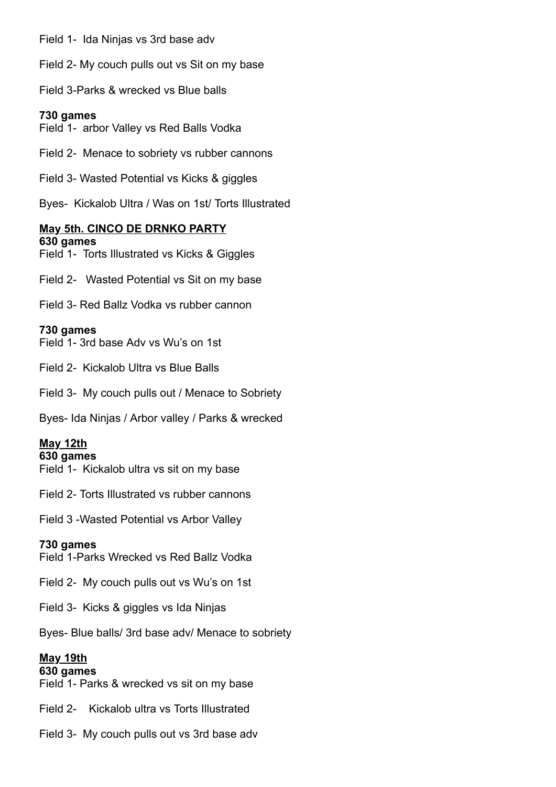Field 1- Ida Ninjas vs 3rd base adv

Field 2- My couch pulls out vs Sit on my base

Field 3-Parks & wrecked vs Blue balls

#### **730 games**

Field 1- arbor Valley vs Red Balls Vodka

Field 2- Menace to sobriety vs rubber cannons

Field 3- Wasted Potential vs Kicks & giggles

Byes- Kickalob Ultra / Was on 1st/ Torts Illustrated

### **May 5th. CINCO DE DRNKO PARTY**

**630 games** Field 1- Torts Illustrated vs Kicks & Giggles

Field 2- Wasted Potential vs Sit on my base

Field 3- Red Ballz Vodka vs rubber cannon

#### **730 games**

Field 1- 3rd base Adv vs Wu's on 1st

Field 2- Kickalob Ultra vs Blue Balls

Field 3- My couch pulls out / Menace to Sobriety

Byes- Ida Ninjas / Arbor valley / Parks & wrecked

### **May 12th**

#### **630 games**

Field 1- Kickalob ultra vs sit on my base

Field 2- Torts Illustrated vs rubber cannons

Field 3 -Wasted Potential vs Arbor Valley

#### **730 games**

Field 1-Parks Wrecked vs Red Ballz Vodka

Field 2- My couch pulls out vs Wu's on 1st

Field 3- Kicks & giggles vs Ida Ninjas

Byes- Blue balls/ 3rd base adv/ Menace to sobriety

### **May 19th**

#### **630 games**

Field 1- Parks & wrecked vs sit on my base

Field 2- Kickalob ultra vs Torts Illustrated

Field 3- My couch pulls out vs 3rd base adv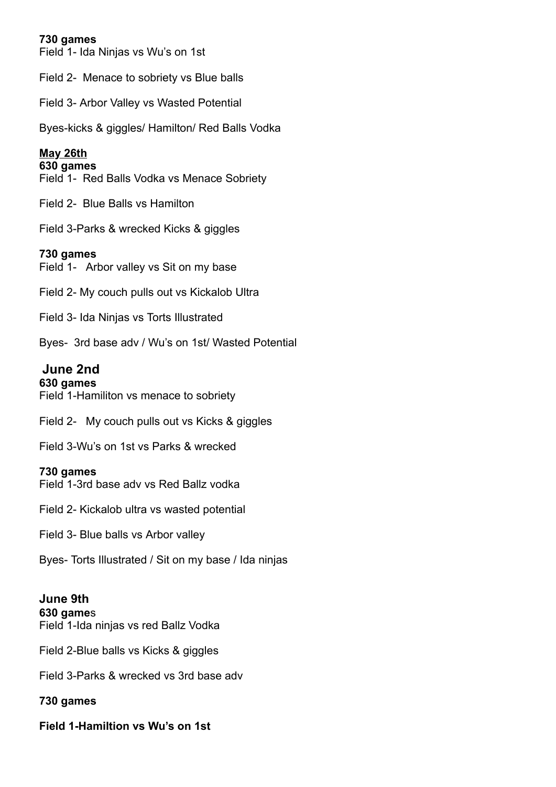### **730 games**

Field 1- Ida Ninjas vs Wu's on 1st

Field 2- Menace to sobriety vs Blue balls

Field 3- Arbor Valley vs Wasted Potential

Byes-kicks & giggles/ Hamilton/ Red Balls Vodka

## **May 26th**

### **630 games**

Field 1- Red Balls Vodka vs Menace Sobriety

Field 2- Blue Balls vs Hamilton

Field 3-Parks & wrecked Kicks & giggles

# **730 games**

Field 1- Arbor valley vs Sit on my base

Field 2- My couch pulls out vs Kickalob Ultra

Field 3- Ida Ninjas vs Torts Illustrated

Byes- 3rd base adv / Wu's on 1st/ Wasted Potential

# **June 2nd**

**630 games** Field 1-Hamiliton vs menace to sobriety

Field 2- My couch pulls out vs Kicks & giggles

Field 3-Wu's on 1st vs Parks & wrecked

### **730 games**

Field 1-3rd base adv vs Red Ballz vodka

Field 2- Kickalob ultra vs wasted potential

Field 3- Blue balls vs Arbor valley

Byes- Torts Illustrated / Sit on my base / Ida ninjas

#### **June 9th 630 game**s

Field 1-Ida ninjas vs red Ballz Vodka

Field 2-Blue balls vs Kicks & giggles

Field 3-Parks & wrecked vs 3rd base adv

# **730 games**

**Field 1-Hamiltion vs Wu's on 1st**